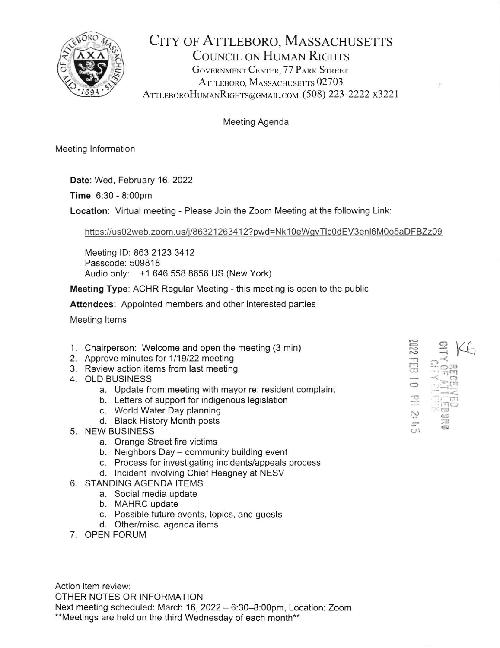

## CITY OF ATTLEBORO, MASSACHUSETTS COUNCIL ON HUMAN RIGHTS GOVERNMENT CENTER, 77 PARK STREET ATTLEBORO, MASSACHUSETTS 02703 ATTLEBOROHUMANRIGHTS@GMAIL.COM (508) 223-2222 x3221

## Meeting Agenda

Meeting lnformation

Date: Wed, February 16, 2022

Time: 6:30 - 8:00pm

Location: Virtual meeting - Please Join the Zoom Meeting at the following Link:

https://us02web.zoom.us/j/86321263412?pwd=Nk10eWgvTlc0dEV3enl6M0o5aDFBZz09

Meeting lD: 863 2123 3412 Passcode: 509818 Audio only: +1 646 558 8656 US (New York)

Meeting Type: ACHR Regular Meeting - this meeting is open to the public

Attendees: Appointed members and other interested parties

Meeting ltems

- 1. Chairperson: Welcome and open the meeting (3 min)
- 2. Approve minutes for 1/19/22 meeting
- 3. Review action items from last meeting
- 4. OLD BUSINESS
	- a. Update from meeting with mayor re: resident complaint
	- b. Letters of support for indigenous legislation
	- c. World Water Day planning
	- d. Black History Month posts
- 5. NEW BUSINESS
	- a. Orange Street fire victims
	- b. Neighbors Day community building event
	- c. Process for investigating incidents/appeals process
	- d. lncident involving Chief Heagney at NESV
- 6. STANDING AGENDA ITEMS
	- a. Social media update
	- b. MAHRC update
	- c. Possible future events, topics, and guests
	- d. Other/misc. agenda items
- 7. OPEN FORUM

Action item review: OTHER NOTES OR INFORMATION Next meeting scheduled: March 16, 2022 - 6:30-8:00pm, Location: Zoom \*\*Meetings are held on the third Wednesday of each month\*\*

| ∼<br><b>Civers</b><br>w |                 |
|-------------------------|-----------------|
|                         | ۰.              |
|                         | nan (R          |
|                         | š<br>š<br>戸     |
|                         | TA.<br>德景<br>69 |
| Æ,<br>cr                |                 |